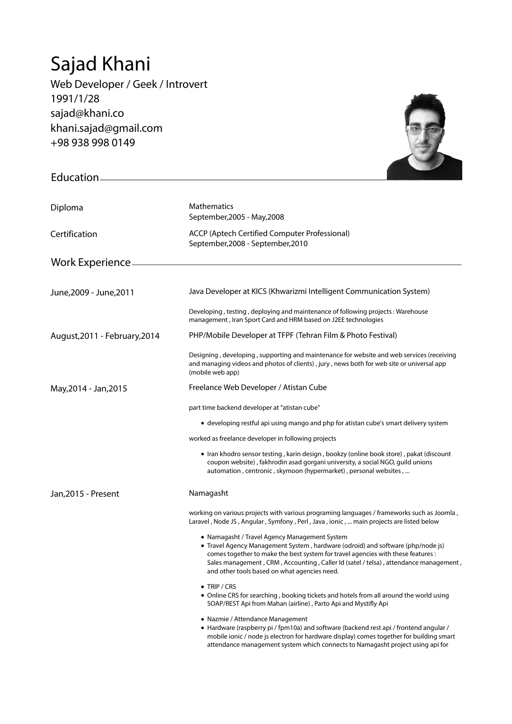## Sajad Khani

Education

Web Developer / Geek / Introvert 1991/1/28 sajad@khani.co khani.sajad@gmail.com +98 938 998 0149



| Diploma                       | Mathematics<br>September, 2005 - May, 2008                                                                                                                                                                                                                                                                                                                   |
|-------------------------------|--------------------------------------------------------------------------------------------------------------------------------------------------------------------------------------------------------------------------------------------------------------------------------------------------------------------------------------------------------------|
| Certification                 | ACCP (Aptech Certified Computer Professional)<br>September, 2008 - September, 2010                                                                                                                                                                                                                                                                           |
| Work Experience.              |                                                                                                                                                                                                                                                                                                                                                              |
|                               |                                                                                                                                                                                                                                                                                                                                                              |
| June, 2009 - June, 2011       | Java Developer at KICS (Khwarizmi Intelligent Communication System)                                                                                                                                                                                                                                                                                          |
|                               | Developing, testing, deploying and maintenance of following projects: Warehouse<br>management, Iran Sport Card and HRM based on J2EE technologies                                                                                                                                                                                                            |
| August, 2011 - February, 2014 | PHP/Mobile Developer at TFPF (Tehran Film & Photo Festival)                                                                                                                                                                                                                                                                                                  |
|                               | Designing, developing, supporting and maintenance for website and web services (receiving<br>and managing videos and photos of clients), jury, news both for web site or universal app<br>(mobile web app)                                                                                                                                                   |
| May, 2014 - Jan, 2015         | Freelance Web Developer / Atistan Cube                                                                                                                                                                                                                                                                                                                       |
|                               | part time backend developer at "atistan cube"                                                                                                                                                                                                                                                                                                                |
|                               | • developing restful api using mango and php for atistan cube's smart delivery system                                                                                                                                                                                                                                                                        |
|                               | worked as freelance developer in following projects                                                                                                                                                                                                                                                                                                          |
|                               | • Iran khodro sensor testing, karin design, bookzy (online book store), pakat (discount<br>coupon website), fakhrodin asad gorgani university, a social NGO, guild unions<br>automation, centronic, skymoon (hypermarket), personal websites,                                                                                                                |
| Jan, 2015 - Present           | Namagasht                                                                                                                                                                                                                                                                                                                                                    |
|                               | working on various projects with various programing languages / frameworks such as Joomla,<br>Laravel, Node JS, Angular, Symfony, Perl, Java, ionic,  main projects are listed below                                                                                                                                                                         |
|                               | • Namagasht / Travel Agency Management System<br>• Travel Agency Management System, hardware (odroid) and software (php/node js)<br>comes together to make the best system for travel agencies with these features :<br>Sales management, CRM, Accounting, Caller Id (satel / telsa), attendance management,<br>and other tools based on what agencies need. |
|                               | $\bullet$ Trip / Crs<br>• Online CRS for searching, booking tickets and hotels from all around the world using<br>SOAP/REST Api from Mahan (airline), Parto Api and Mystifly Api                                                                                                                                                                             |
|                               | • Nazmie / Attendance Management<br>• Hardware (raspberry pi / fpm10a) and software (backend rest api / frontend angular /<br>mobile ionic / node js electron for hardware display) comes together for building smart<br>attendance management system which connects to Namagasht project using api for                                                      |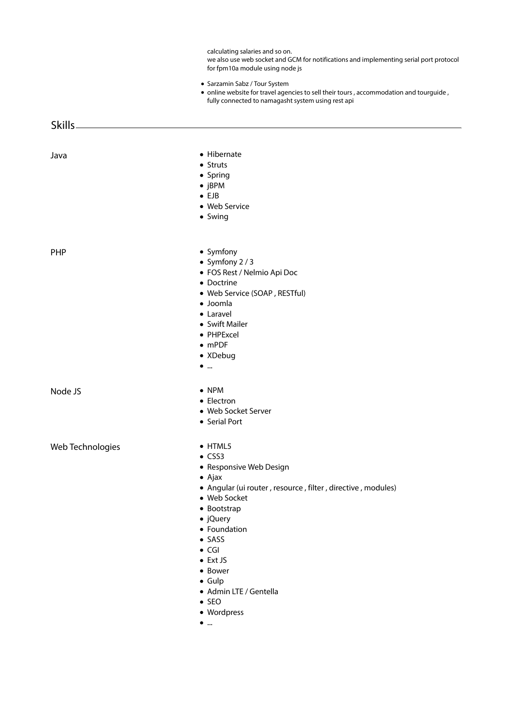calculating salaries and so on.

we also use web socket and GCM for notifications and implementing serial port protocol for fpm10a module using node js

- Sarzamin Sabz / Tour System
- online website for travel agencies to sell their tours, accommodation and tourguide, fully connected to namagasht system using rest api

Skills

- Java **Hibernate** 
	- Struts
	- Spring
	- jBPM
	- $\bullet$  FJB
	- Web Service
	- Swing

- PHP Symfony
	- $\bullet$  Symfony 2/3
	- FOS Rest / Nelmio Api Doc
	- Doctrine
	- Web Service (SOAP , RESTful)
	- Joomla
	- Laravel
	- Swift Mailer
	- PHPExcel
	- mPDF
	- XDebug
	- $\bullet$   $\dots$

Node JS NPM

- 
- Electron
- Web Socket Server
- Serial Port

Web Technologies **CONFING WEB TECHNOLOGIES** 

- 
- $\bullet$  CSS3
- Responsive Web Design
- Ajax
- Angular (ui router , resource , filter , directive , modules)
- Web Socket
- Bootstrap
- jQuery
- Foundation
- $\bullet$  SASS
- $\bullet$  CGI
- Ext JS
- Bower
- Gulp
- Admin LTE / Gentella
- $\bullet$  SEO
- Wordpress
- $\bullet$   $\ldots$